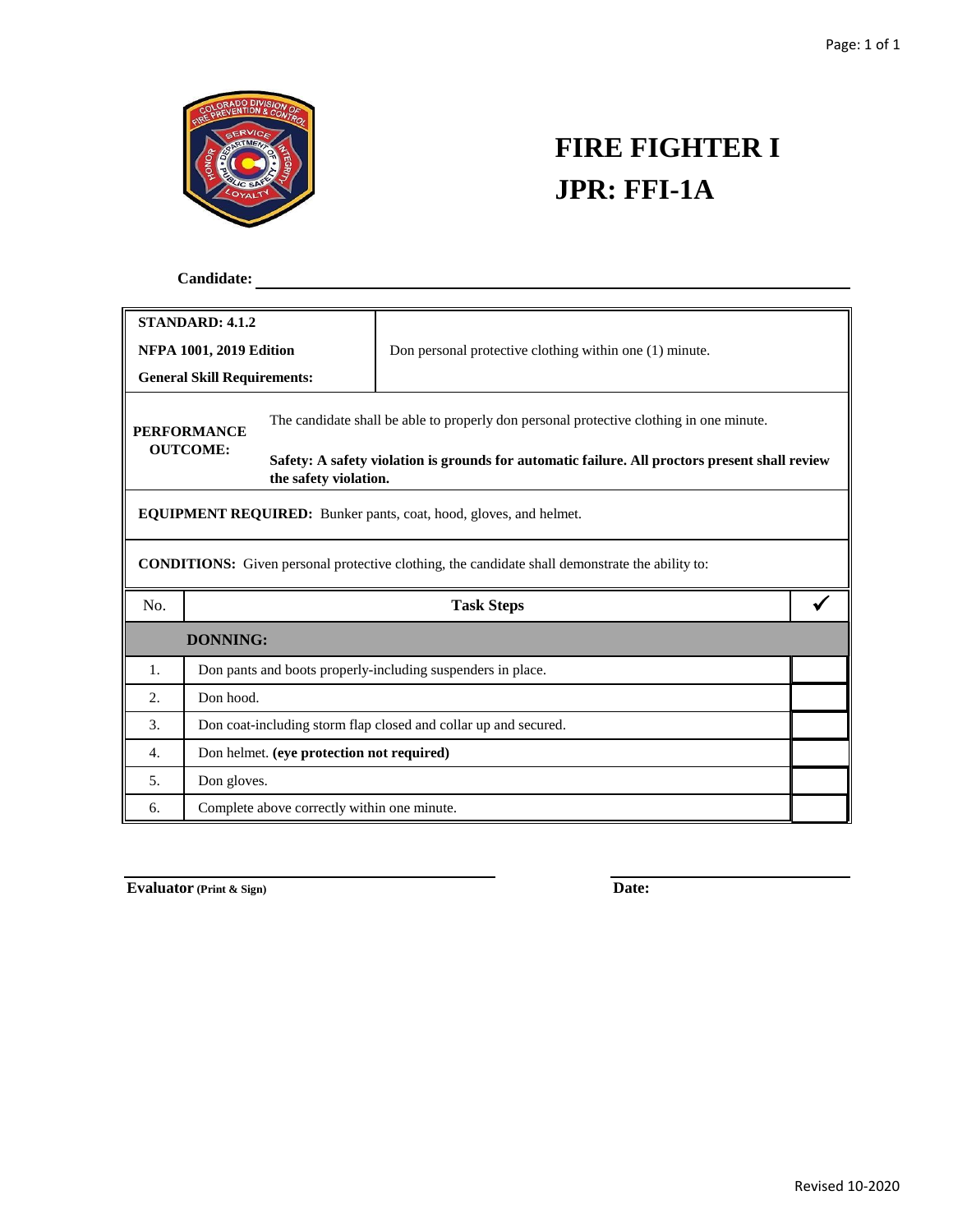

## **FIRE FIGHTER I JPR: FFI-1A**

 **Candidate:**

| <b>STANDARD: 4.1.2</b>                                                                                 |                                                                          |                                                                                                                         |                                                         |  |  |  |  |  |
|--------------------------------------------------------------------------------------------------------|--------------------------------------------------------------------------|-------------------------------------------------------------------------------------------------------------------------|---------------------------------------------------------|--|--|--|--|--|
| <b>NFPA 1001, 2019 Edition</b>                                                                         |                                                                          |                                                                                                                         | Don personal protective clothing within one (1) minute. |  |  |  |  |  |
| <b>General Skill Requirements:</b>                                                                     |                                                                          |                                                                                                                         |                                                         |  |  |  |  |  |
| <b>PERFORMANCE</b><br><b>OUTCOME:</b>                                                                  |                                                                          | The candidate shall be able to properly don personal protective clothing in one minute.                                 |                                                         |  |  |  |  |  |
|                                                                                                        |                                                                          | Safety: A safety violation is grounds for automatic failure. All proctors present shall review<br>the safety violation. |                                                         |  |  |  |  |  |
| <b>EQUIPMENT REQUIRED:</b> Bunker pants, coat, hood, gloves, and helmet.                               |                                                                          |                                                                                                                         |                                                         |  |  |  |  |  |
| <b>CONDITIONS:</b> Given personal protective clothing, the candidate shall demonstrate the ability to: |                                                                          |                                                                                                                         |                                                         |  |  |  |  |  |
| No.                                                                                                    | <b>Task Steps</b>                                                        |                                                                                                                         |                                                         |  |  |  |  |  |
|                                                                                                        | <b>DONNING:</b>                                                          |                                                                                                                         |                                                         |  |  |  |  |  |
| 1.                                                                                                     |                                                                          |                                                                                                                         |                                                         |  |  |  |  |  |
| 2.                                                                                                     | Don pants and boots properly-including suspenders in place.<br>Don hood. |                                                                                                                         |                                                         |  |  |  |  |  |
| 3.                                                                                                     | Don coat-including storm flap closed and collar up and secured.          |                                                                                                                         |                                                         |  |  |  |  |  |
| 4.                                                                                                     | Don helmet. (eye protection not required)                                |                                                                                                                         |                                                         |  |  |  |  |  |
| 5.                                                                                                     | Don gloves.                                                              |                                                                                                                         |                                                         |  |  |  |  |  |
| 6.                                                                                                     | Complete above correctly within one minute.                              |                                                                                                                         |                                                         |  |  |  |  |  |

**Evaluator (Print & Sign) Date:**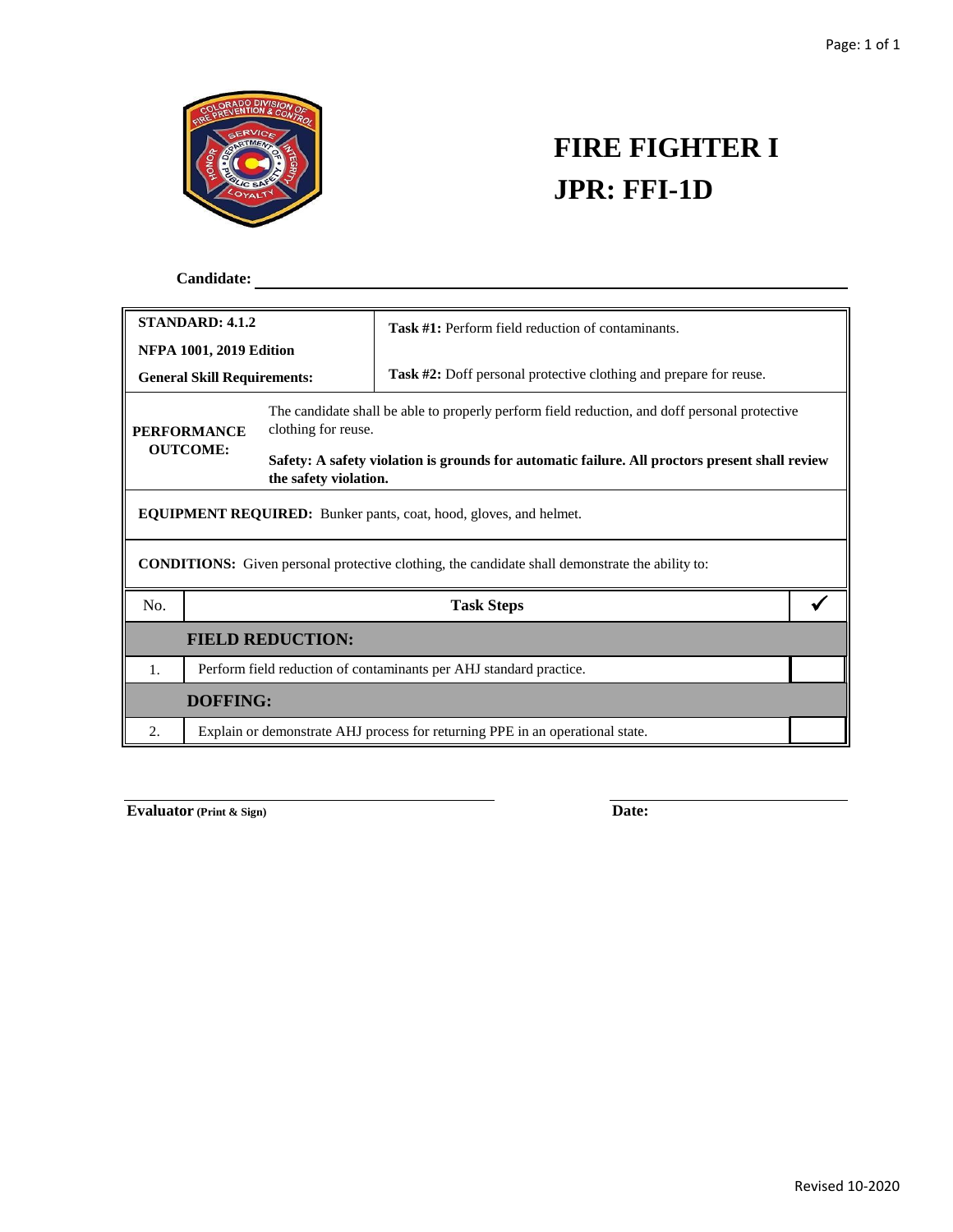

## **FIRE FIGHTER I JPR: FFI-1D**

 **Candidate:**

| <b>STANDARD: 4.1.2</b>                                                                                 |                                                                               |                                                                                                                         | <b>Task #1:</b> Perform field reduction of contaminants.                 |  |  |  |  |  |
|--------------------------------------------------------------------------------------------------------|-------------------------------------------------------------------------------|-------------------------------------------------------------------------------------------------------------------------|--------------------------------------------------------------------------|--|--|--|--|--|
| <b>NFPA 1001, 2019 Edition</b>                                                                         |                                                                               |                                                                                                                         |                                                                          |  |  |  |  |  |
| <b>General Skill Requirements:</b>                                                                     |                                                                               |                                                                                                                         | <b>Task #2:</b> Doff personal protective clothing and prepare for reuse. |  |  |  |  |  |
| <b>PERFORMANCE</b><br><b>OUTCOME:</b>                                                                  |                                                                               | The candidate shall be able to properly perform field reduction, and doff personal protective<br>clothing for reuse.    |                                                                          |  |  |  |  |  |
|                                                                                                        |                                                                               | Safety: A safety violation is grounds for automatic failure. All proctors present shall review<br>the safety violation. |                                                                          |  |  |  |  |  |
| <b>EQUIPMENT REQUIRED:</b> Bunker pants, coat, hood, gloves, and helmet.                               |                                                                               |                                                                                                                         |                                                                          |  |  |  |  |  |
| <b>CONDITIONS:</b> Given personal protective clothing, the candidate shall demonstrate the ability to: |                                                                               |                                                                                                                         |                                                                          |  |  |  |  |  |
| No.                                                                                                    |                                                                               |                                                                                                                         | <b>Task Steps</b>                                                        |  |  |  |  |  |
| <b>FIELD REDUCTION:</b>                                                                                |                                                                               |                                                                                                                         |                                                                          |  |  |  |  |  |
| 1.                                                                                                     |                                                                               | Perform field reduction of contaminants per AHJ standard practice.                                                      |                                                                          |  |  |  |  |  |
| DOFFING:                                                                                               |                                                                               |                                                                                                                         |                                                                          |  |  |  |  |  |
| 2.                                                                                                     | Explain or demonstrate AHJ process for returning PPE in an operational state. |                                                                                                                         |                                                                          |  |  |  |  |  |

**Evaluator** (Print & Sign) **Date:**